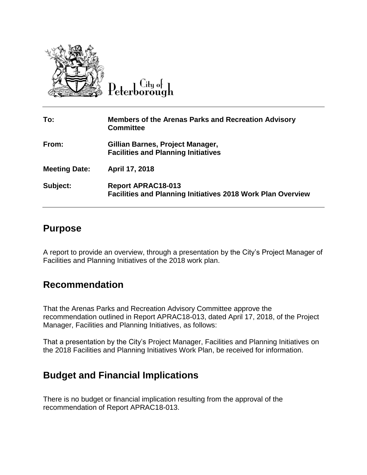

City of Peterborough

| To:                  | <b>Members of the Arenas Parks and Recreation Advisory</b><br><b>Committee</b>                  |
|----------------------|-------------------------------------------------------------------------------------------------|
| From:                | Gillian Barnes, Project Manager,<br><b>Facilities and Planning Initiatives</b>                  |
| <b>Meeting Date:</b> | April 17, 2018                                                                                  |
| Subject:             | <b>Report APRAC18-013</b><br><b>Facilities and Planning Initiatives 2018 Work Plan Overview</b> |

## **Purpose**

A report to provide an overview, through a presentation by the City's Project Manager of Facilities and Planning Initiatives of the 2018 work plan.

## **Recommendation**

That the Arenas Parks and Recreation Advisory Committee approve the recommendation outlined in Report APRAC18-013, dated April 17, 2018, of the Project Manager, Facilities and Planning Initiatives, as follows:

That a presentation by the City's Project Manager, Facilities and Planning Initiatives on the 2018 Facilities and Planning Initiatives Work Plan, be received for information.

## **Budget and Financial Implications**

There is no budget or financial implication resulting from the approval of the recommendation of Report APRAC18-013.